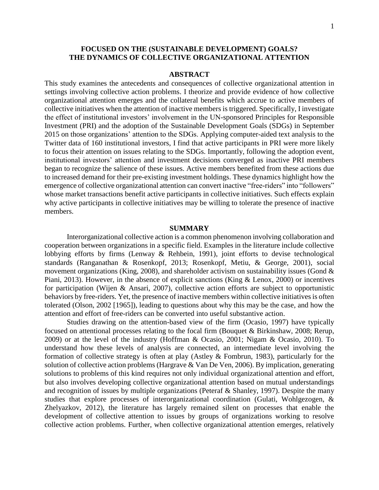## **FOCUSED ON THE (SUSTAINABLE DEVELOPMENT) GOALS? THE DYNAMICS OF COLLECTIVE ORGANIZATIONAL ATTENTION**

## **ABSTRACT**

This study examines the antecedents and consequences of collective organizational attention in settings involving collective action problems. I theorize and provide evidence of how collective organizational attention emerges and the collateral benefits which accrue to active members of collective initiatives when the attention of inactive members is triggered. Specifically, I investigate the effect of institutional investors' involvement in the UN-sponsored Principles for Responsible Investment (PRI) and the adoption of the Sustainable Development Goals (SDGs) in September 2015 on those organizations' attention to the SDGs. Applying computer-aided text analysis to the Twitter data of 160 institutional investors, I find that active participants in PRI were more likely to focus their attention on issues relating to the SDGs. Importantly, following the adoption event, institutional investors' attention and investment decisions converged as inactive PRI members began to recognize the salience of these issues. Active members benefited from these actions due to increased demand for their pre-existing investment holdings. These dynamics highlight how the emergence of collective organizational attention can convert inactive "free-riders" into "followers" whose market transactions benefit active participants in collective initiatives. Such effects explain why active participants in collective initiatives may be willing to tolerate the presence of inactive members.

## **SUMMARY**

Interorganizational collective action is a common phenomenon involving collaboration and cooperation between organizations in a specific field. Examples in the literature include collective lobbying efforts by firms (Lenway & Rehbein, 1991), joint efforts to devise technological standards (Ranganathan & Rosenkopf, 2013; Rosenkopf, Metiu, & George, 2001), social movement organizations (King, 2008), and shareholder activism on sustainability issues (Gond & Piani, 2013). However, in the absence of explicit sanctions (King & Lenox, 2000) or incentives for participation (Wijen & Ansari, 2007), collective action efforts are subject to opportunistic behaviors by free-riders. Yet, the presence of inactive members within collective initiatives is often tolerated (Olson, 2002 [1965]), leading to questions about why this may be the case, and how the attention and effort of free-riders can be converted into useful substantive action.

Studies drawing on the attention-based view of the firm (Ocasio, 1997) have typically focused on attentional processes relating to the focal firm (Bouquet & Birkinshaw, 2008; Rerup, 2009) or at the level of the industry (Hoffman & Ocasio, 2001; Nigam & Ocasio, 2010). To understand how these levels of analysis are connected, an intermediate level involving the formation of collective strategy is often at play (Astley & Fombrun, 1983), particularly for the solution of collective action problems (Hargrave & Van De Ven, 2006). By implication, generating solutions to problems of this kind requires not only individual organizational attention and effort, but also involves developing collective organizational attention based on mutual understandings and recognition of issues by multiple organizations (Peteraf & Shanley, 1997). Despite the many studies that explore processes of interorganizational coordination (Gulati, Wohlgezogen, & Zhelyazkov, 2012), the literature has largely remained silent on processes that enable the development of collective attention to issues by groups of organizations working to resolve collective action problems. Further, when collective organizational attention emerges, relatively